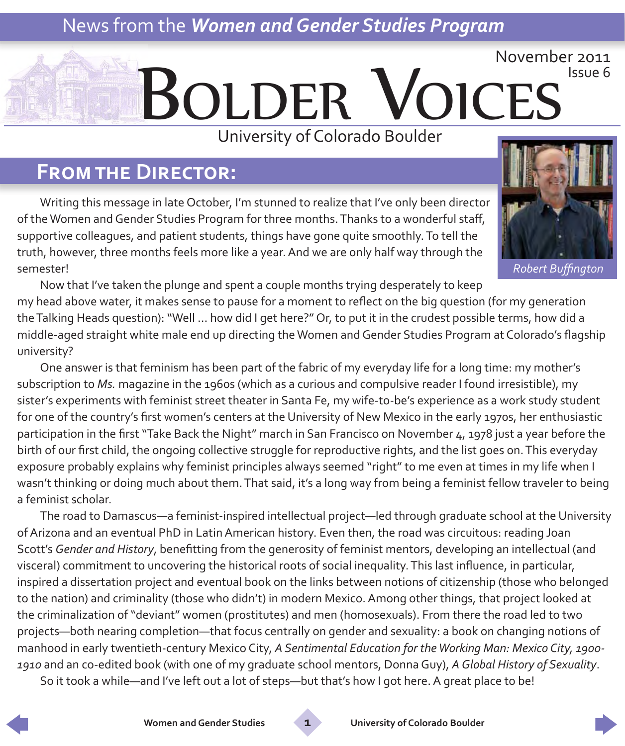# News from the *Women and Gender Studies Program*

# Bolder Voices November 2011 Issue 6 University of Colorado Boulder

### **From the Director:**

Writing this message in late October, I'm stunned to realize that I've only been director of the Women and Gender Studies Program for three months. Thanks to a wonderful staff, supportive colleagues, and patient students, things have gone quite smoothly. To tell the truth, however, three months feels more like a year. And we are only half way through the semester!



*Robert Buffington*

Now that I've taken the plunge and spent a couple months trying desperately to keep my head above water, it makes sense to pause for a moment to reflect on the big question (for my generation the Talking Heads question): "Well … how did I get here?" Or, to put it in the crudest possible terms, how did a middle-aged straight white male end up directing the Women and Gender Studies Program at Colorado's flagship university?

One answer is that feminism has been part of the fabric of my everyday life for a long time: my mother's subscription to *Ms.* magazine in the 1960s (which as a curious and compulsive reader I found irresistible), my sister's experiments with feminist street theater in Santa Fe, my wife-to-be's experience as a work study student for one of the country's first women's centers at the University of New Mexico in the early 1970s, her enthusiastic participation in the first "Take Back the Night" march in San Francisco on November 4, 1978 just a year before the birth of our first child, the ongoing collective struggle for reproductive rights, and the list goes on. This everyday exposure probably explains why feminist principles always seemed "right" to me even at times in my life when I wasn't thinking or doing much about them. That said, it's a long way from being a feminist fellow traveler to being a feminist scholar.

The road to Damascus—a feminist-inspired intellectual project—led through graduate school at the University of Arizona and an eventual PhD in Latin American history. Even then, the road was circuitous: reading Joan Scott's *Gender and History*, benefitting from the generosity of feminist mentors, developing an intellectual (and visceral) commitment to uncovering the historical roots of social inequality. This last influence, in particular, inspired a dissertation project and eventual book on the links between notions of citizenship (those who belonged to the nation) and criminality (those who didn't) in modern Mexico. Among other things, that project looked at the criminalization of "deviant" women (prostitutes) and men (homosexuals). From there the road led to two projects—both nearing completion—that focus centrally on gender and sexuality: a book on changing notions of manhood in early twentieth-century Mexico City, *A Sentimental Education for the Working Man: Mexico City, 1900- 1910* and an co-edited book (with one of my graduate school mentors, Donna Guy), *A Global History of Sexuality*.

So it took a while—and I've left out a lot of steps—but that's how I got here. A great place to be!



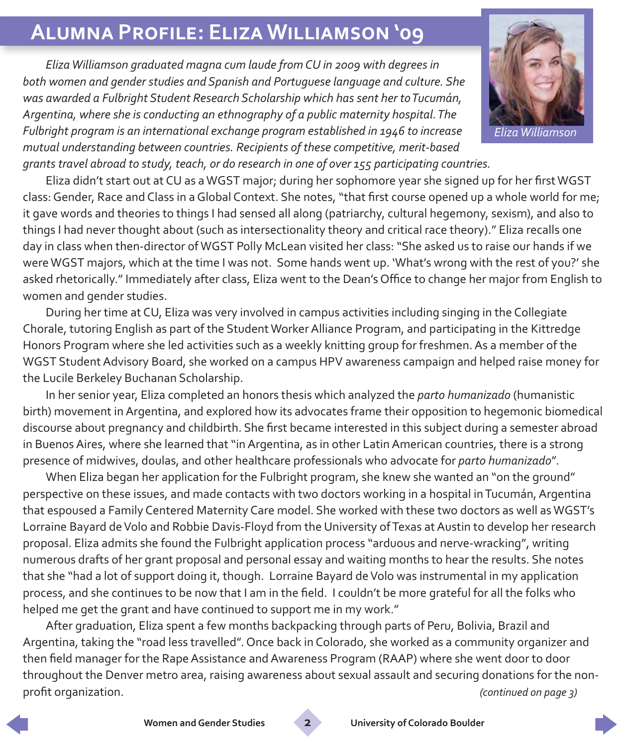## **Alumna Profile: Eliza Williamson '09**

*Eliza Williamson graduated magna cum laude from CU in 2009 with degrees in both women and gender studies and Spanish and Portuguese language and culture. She was awarded a Fulbright Student Research Scholarship which has sent her to Tucumán, Argentina, where she is conducting an ethnography of a public maternity hospital. The Fulbright program is an international exchange program established in 1946 to increase mutual understanding between countries. Recipients of these competitive, merit-based grants travel abroad to study, teach, or do research in one of over 155 participating countries.*

Eliza didn't start out at CU as a WGST major; during her sophomore year she signed up for her first WGST class: Gender, Race and Class in a Global Context. She notes, "that first course opened up a whole world for me; it gave words and theories to things I had sensed all along (patriarchy, cultural hegemony, sexism), and also to things I had never thought about (such as intersectionality theory and critical race theory)." Eliza recalls one day in class when then-director of WGST Polly McLean visited her class: "She asked us to raise our hands if we were WGST majors, which at the time I was not. Some hands went up. 'What's wrong with the rest of you?' she asked rhetorically." Immediately after class, Eliza went to the Dean's Office to change her major from English to women and gender studies.

During her time at CU, Eliza was very involved in campus activities including singing in the Collegiate Chorale, tutoring English as part of the Student Worker Alliance Program, and participating in the Kittredge Honors Program where she led activities such as a weekly knitting group for freshmen. As a member of the WGST Student Advisory Board, she worked on a campus HPV awareness campaign and helped raise money for the Lucile Berkeley Buchanan Scholarship.

In her senior year, Eliza completed an honors thesis which analyzed the *parto humanizado* (humanistic birth) movement in Argentina, and explored how its advocates frame their opposition to hegemonic biomedical discourse about pregnancy and childbirth. She first became interested in this subject during a semester abroad in Buenos Aires, where she learned that "in Argentina, as in other Latin American countries, there is a strong presence of midwives, doulas, and other healthcare professionals who advocate for *parto humanizado*".

When Eliza began her application for the Fulbright program, she knew she wanted an "on the ground" perspective on these issues, and made contacts with two doctors working in a hospital in Tucumán, Argentina that espoused a Family Centered Maternity Care model. She worked with these two doctors as well as WGST's Lorraine Bayard de Volo and Robbie Davis-Floyd from the University of Texas at Austin to develop her research proposal. Eliza admits she found the Fulbright application process "arduous and nerve-wracking", writing numerous drafts of her grant proposal and personal essay and waiting months to hear the results. She notes that she "had a lot of support doing it, though. Lorraine Bayard de Volo was instrumental in my application process, and she continues to be now that I am in the field. I couldn't be more grateful for all the folks who helped me get the grant and have continued to support me in my work."

After graduation, Eliza spent a few months backpacking through parts of Peru, Bolivia, Brazil and Argentina, taking the "road less travelled". Once back in Colorado, she worked as a community organizer and then field manager for the Rape Assistance and Awareness Program (RAAP) where she went door to door throughout the Denver metro area, raising awareness about sexual assault and securing donations for the nonprofit organization. *(continued on page 3)*







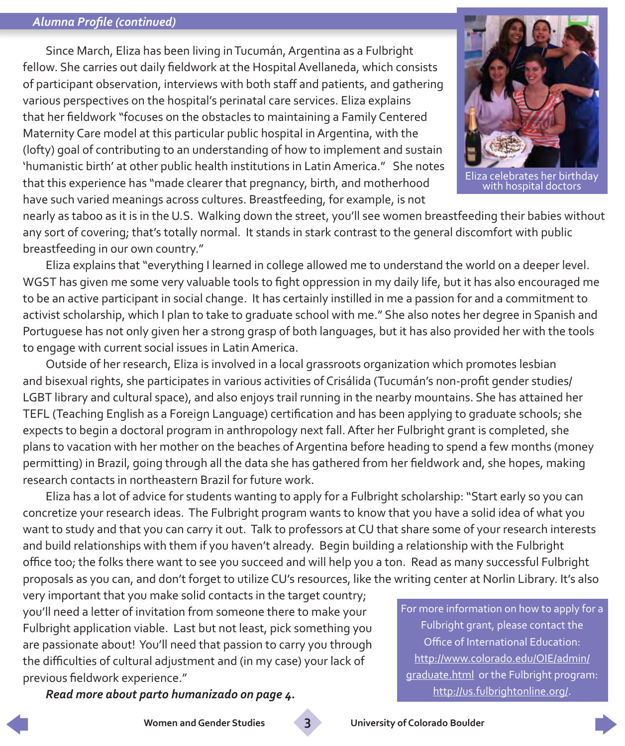#### *Alumna Profile (continued)*

Since March, Eliza has been living in Tucumán, Argentina as a Fulbright fellow. She carries out daily fieldwork at the Hospital Avellaneda, which consists of participant observation, interviews with both staff and patients, and gathering various perspectives on the hospital's perinatal care services. Eliza explains that her fieldwork "focuses on the obstacles to maintaining a Family Centered Maternity Care model at this particular public hospital in Argentina, with the (lofty) goal of contributing to an understanding of how to implement and sustain 'humanistic birth' at other public health institutions in Latin America." She notes that this experience has "made clearer that pregnancy, birth, and motherhood have such varied meanings across cultures. Breastfeeding, for example, is not



a celebrates her birthday<br>with hospital doctors

nearly as taboo as it is in the U.S. Walking down the street, you'll see women breastfeeding their babies without any sort of covering; that's totally normal. It stands in stark contrast to the general discomfort with public breastfeeding in our own country."

Eliza explains that "everything I learned in college allowed me to understand the world on a deeper level. WGST has given me some very valuable tools to fight oppression in my daily life, but it has also encouraged me to be an active participant in social change. It has certainly instilled in me a passion for and a commitment to activist scholarship, which I plan to take to graduate school with me." She also notes her degree in Spanish and Portuguese has not only given her a strong grasp of both languages, but it has also provided her with the tools to engage with current social issues in Latin America.

Outside of her research, Eliza is involved in a local grassroots organization which promotes lesbian and bisexual rights, she participates in various activities of Crisálida (Tucumán's non-profit gender studies/ LGBT library and cultural space), and also enjoys trail running in the nearby mountains. She has attained her TEFL (Teaching English as a Foreign Language) certification and has been applying to graduate schools; she expects to begin a doctoral program in anthropology next fall. After her Fulbright grant is completed, she plans to vacation with her mother on the beaches of Argentina before heading to spend a few months (money permitting) in Brazil, going through all the data she has gathered from her fieldwork and, she hopes, making research contacts in northeastern Brazil for future work.

Eliza has a lot of advice for students wanting to apply for a Fulbright scholarship: "Start early so you can concretize your research ideas. The Fulbright program wants to know that you have a solid idea of what you want to study and that you can carry it out. Talk to professors at CU that share some of your research interests and build relationships with them if you haven't already. Begin building a relationship with the Fulbright office too; the folks there want to see you succeed and will help you a ton. Read as many successful Fulbright proposals as you can, and don't forget to utilize CU's resources, like the writing center at Norlin Library. It's also

very important that you make solid contacts in the target country; you'll need a letter of invitation from someone there to make your Fulbright application viable. Last but not least, pick something you are passionate about! You'll need that passion to carry you through the difficulties of cultural adjustment and (in my case) your lack of previous fieldwork experience."

*Read more about parto humanizado on page 4.*

For more information on how to apply for a Fulbright grant, please contact the Office of International Education: [http://www.colorado.edu/OIE/admin/](http://www.colorado.edu/OIE/admin/graduate.html) [graduate.html](http://www.colorado.edu/OIE/admin/graduate.html) or the Fulbright program: [http://us.fulbrightonline.org/.](http://us.fulbrightonline.org/)

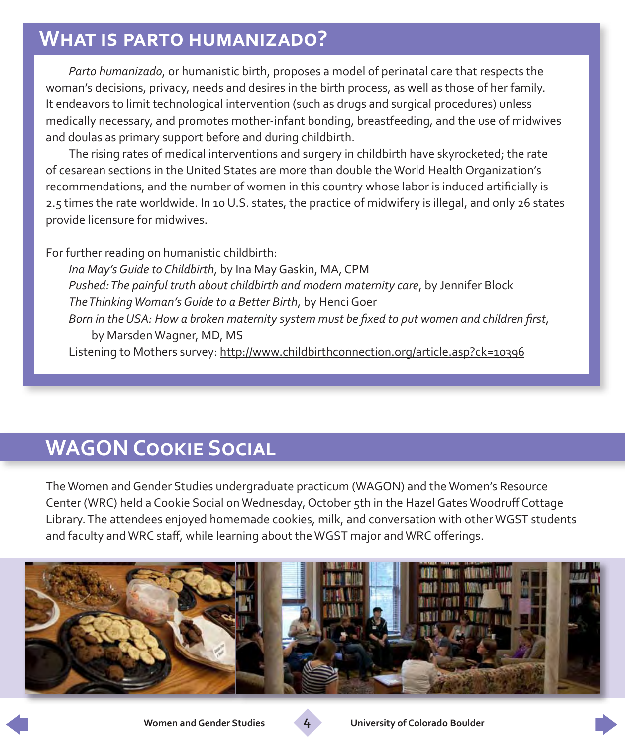### **What is parto humanizado?**

*Parto humanizado*, or humanistic birth, proposes a model of perinatal care that respects the woman's decisions, privacy, needs and desires in the birth process, as well as those of her family. It endeavors to limit technological intervention (such as drugs and surgical procedures) unless medically necessary, and promotes mother-infant bonding, breastfeeding, and the use of midwives and doulas as primary support before and during childbirth.

The rising rates of medical interventions and surgery in childbirth have skyrocketed; the rate of cesarean sections in the United States are more than double the World Health Organization's recommendations, and the number of women in this country whose labor is induced artificially is 2.5 times the rate worldwide. In 10 U.S. states, the practice of midwifery is illegal, and only 26 states provide licensure for midwives.

For further reading on humanistic childbirth:

*Ina May's Guide to Childbirth*, by Ina May Gaskin, MA, CPM *Pushed: The painful truth about childbirth and modern maternity care*, by Jennifer Block *The Thinking Woman's Guide to a Better Birth*, by Henci Goer *Born in the USA: How a broken maternity system must be fixed to put women and children first*, by Marsden Wagner, MD, MS Listening to Mothers survey: [http://www.childbirthconnection.org/article.asp?ck=10396](http://www.childbirthconnection.org/article.asp?ck=10396
)

# **WAGON Cookie Social**

The Women and Gender Studies undergraduate practicum (WAGON) and the Women's Resource Center (WRC) held a Cookie Social on Wednesday, October 5th in the Hazel Gates Woodruff Cottage Library. The attendees enjoyed homemade cookies, milk, and conversation with other WGST students and faculty and WRC staff, while learning about the WGST major and WRC offerings.



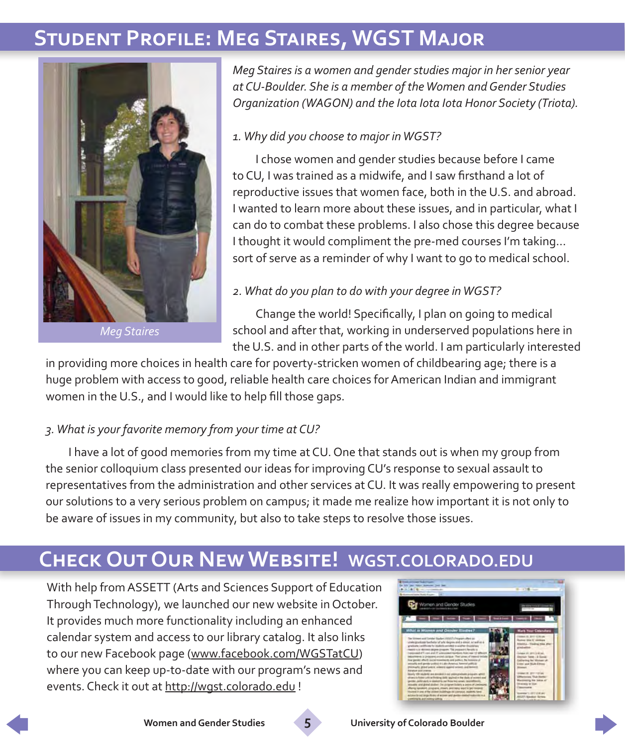## **Student Profile: Meg Staires, WGST Major**



*Meg Staires*

*Meg Staires is a women and gender studies major in her senior year at CU-Boulder. She is a member of the Women and Gender Studies Organization (WAGON) and the Iota Iota Iota Honor Society (Triota).*

#### *1. Why did you choose to major in WGST?*

I chose women and gender studies because before I came to CU, I was trained as a midwife, and I saw firsthand a lot of reproductive issues that women face, both in the U.S. and abroad. I wanted to learn more about these issues, and in particular, what I can do to combat these problems. I also chose this degree because I thought it would compliment the pre-med courses I'm taking... sort of serve as a reminder of why I want to go to medical school.

#### *2. What do you plan to do with your degree in WGST?*

Change the world! Specifically, I plan on going to medical school and after that, working in underserved populations here in the U.S. and in other parts of the world. I am particularly interested

in providing more choices in health care for poverty-stricken women of childbearing age; there is a huge problem with access to good, reliable health care choices for American Indian and immigrant women in the U.S., and I would like to help fill those gaps.

#### *3. What is your favorite memory from your time at CU?*

I have a lot of good memories from my time at CU. One that stands out is when my group from the senior colloquium class presented our ideas for improving CU's response to sexual assault to representatives from the administration and other services at CU. It was really empowering to present our solutions to a very serious problem on campus; it made me realize how important it is not only to be aware of issues in my community, but also to take steps to resolve those issues.

### **Check Out Our New Website! WGST.COLORADO.EDU**

With help from ASSETT (Arts and Sciences Support of Education Through Technology), we launched our new website in October. It provides much more functionality including an enhanced calendar system and access to our library catalog. It also links to our new Facebook page [\(www.facebook.com/WGSTatCU\)](http://www.facebook.com/WGSTatCU) where you can keep up-to-date with our program's news and events. Check it out at <http://wgst.colorado.edu>!



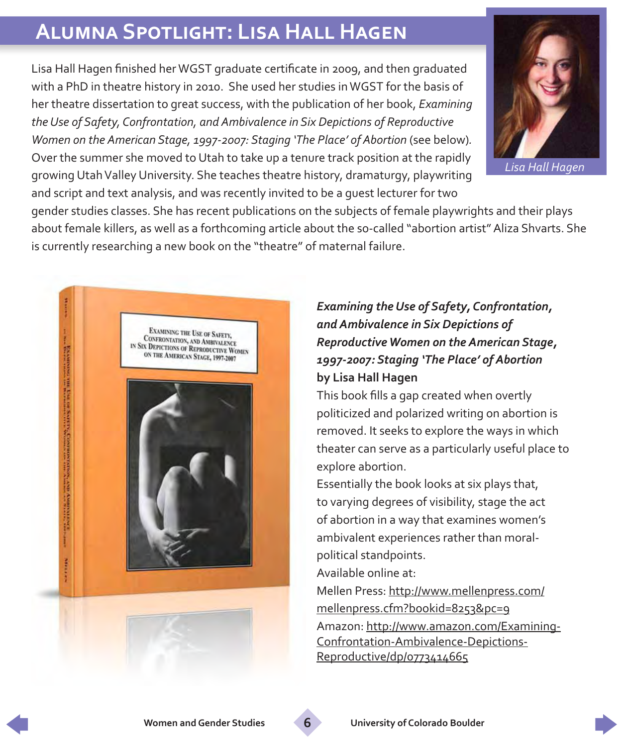# **Alumna Spotlight: Lisa Hall Hagen**

Lisa Hall Hagen finished her WGST graduate certificate in 2009, and then graduated with a PhD in theatre history in 2010. She used her studies in WGST for the basis of her theatre dissertation to great success, with the publication of her book, *Examining the Use of Safety, Confrontation, and Ambivalence in Six Depictions of Reproductive Women on the American Stage, 1997-2007: Staging 'The Place' of Abortion (see below).* Over the summer she moved to Utah to take up a tenure track position at the rapidly growing Utah Valley University. She teaches theatre history, dramaturgy, playwriting and script and text analysis, and was recently invited to be a guest lecturer for two



*Lisa Hall Hagen*

gender studies classes. She has recent publications on the subjects of female playwrights and their plays about female killers, as well as a forthcoming article about the so-called "abortion artist" Aliza Shvarts. She is currently researching a new book on the "theatre" of maternal failure.



#### *Examining the Use of Safety, Confrontation, and Ambivalence in Six Depictions of Reproductive Women on the American Stage, 1997-2007: Staging 'The Place' of Abortion* **by Lisa Hall Hagen**

This book fills a gap created when overtly politicized and polarized writing on abortion is removed. It seeks to explore the ways in which theater can serve as a particularly useful place to explore abortion.

Essentially the book looks at six plays that, to varying degrees of visibility, stage the act of abortion in a way that examines women's ambivalent experiences rather than moralpolitical standpoints.

Available online at:

Mellen Press: [http://www.mellenpress.com/](http://www.mellenpress.com/mellenpress.cfm?bookid=8253&pc=9) [mellenpress.cfm?bookid=8253&pc=9](http://www.mellenpress.com/mellenpress.cfm?bookid=8253&pc=9) Amazon: [http://www.amazon.com/Examining-](http://www.amazon.com/Examining-Confrontation-Ambivalence-Depictions-Reproductive/dp/0773414665)[Confrontation-Ambivalence-Depictions-](http://www.amazon.com/Examining-Confrontation-Ambivalence-Depictions-Reproductive/dp/0773414665)[Reproductive/dp/0773414665](http://www.amazon.com/Examining-Confrontation-Ambivalence-Depictions-Reproductive/dp/0773414665)

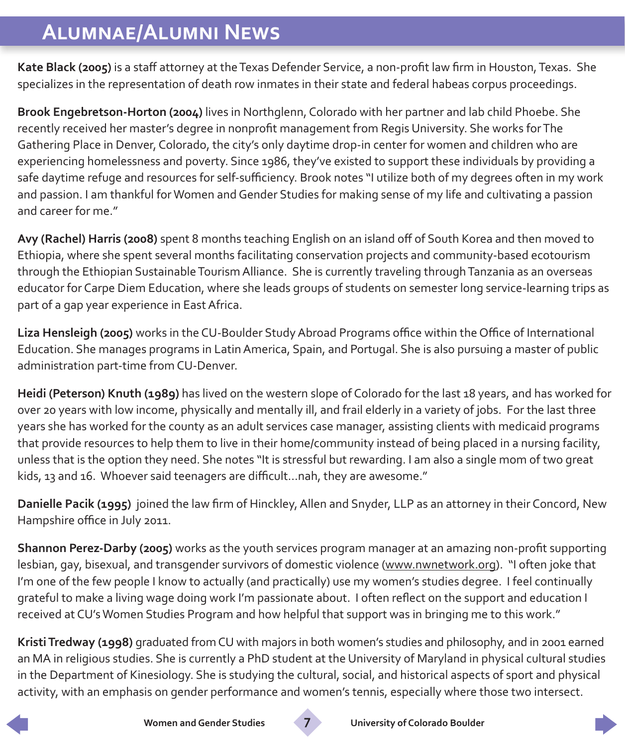# **Alumnae/Alumni News**

**Kate Black (2005)** is a staff attorney at the Texas Defender Service, a non-profit law firm in Houston, Texas. She specializes in the representation of death row inmates in their state and federal habeas corpus proceedings.

**Brook Engebretson-Horton (2004)** lives in Northglenn, Colorado with her partner and lab child Phoebe. She recently received her master's degree in nonprofit management from Regis University. She works for The Gathering Place in Denver, Colorado, the city's only daytime drop-in center for women and children who are experiencing homelessness and poverty. Since 1986, they've existed to support these individuals by providing a safe daytime refuge and resources for self-sufficiency. Brook notes "I utilize both of my degrees often in my work and passion. I am thankful for Women and Gender Studies for making sense of my life and cultivating a passion and career for me."

**Avy (Rachel) Harris (2008)** spent 8 months teaching English on an island off of South Korea and then moved to Ethiopia, where she spent several months facilitating conservation projects and community-based ecotourism through the Ethiopian Sustainable Tourism Alliance. She is currently traveling through Tanzania as an overseas educator for Carpe Diem Education, where she leads groups of students on semester long service-learning trips as part of a gap year experience in East Africa.

**Liza Hensleigh (2005)** works in the CU-Boulder Study Abroad Programs office within the Office of International Education. She manages programs in Latin America, Spain, and Portugal. She is also pursuing a master of public administration part-time from CU-Denver.

**Heidi (Peterson) Knuth (1989)** has lived on the western slope of Colorado for the last 18 years, and has worked for over 20 years with low income, physically and mentally ill, and frail elderly in a variety of jobs. For the last three years she has worked for the county as an adult services case manager, assisting clients with medicaid programs that provide resources to help them to live in their home/community instead of being placed in a nursing facility, unless that is the option they need. She notes "It is stressful but rewarding. I am also a single mom of two great kids, 13 and 16. Whoever said teenagers are difficult...nah, they are awesome."

**Danielle Pacik (1995)** joined the law firm of Hinckley, Allen and Snyder, LLP as an attorney in their Concord, New Hampshire office in July 2011.

**Shannon Perez-Darby (2005)** works as the youth services program manager at an amazing non-profit supporting lesbian, gay, bisexual, and transgender survivors of domestic violence ([www.nwnetwork.org\)](http://www.nwnetwork.org). "I often joke that I'm one of the few people I know to actually (and practically) use my women's studies degree. I feel continually grateful to make a living wage doing work I'm passionate about. I often reflect on the support and education I received at CU's Women Studies Program and how helpful that support was in bringing me to this work."

**Kristi Tredway (1998)** graduated from CU with majors in both women's studies and philosophy, and in 2001 earned an MA in religious studies. She is currently a PhD student at the University of Maryland in physical cultural studies in the Department of Kinesiology. She is studying the cultural, social, and historical aspects of sport and physical activity, with an emphasis on gender performance and women's tennis, especially where those two intersect.





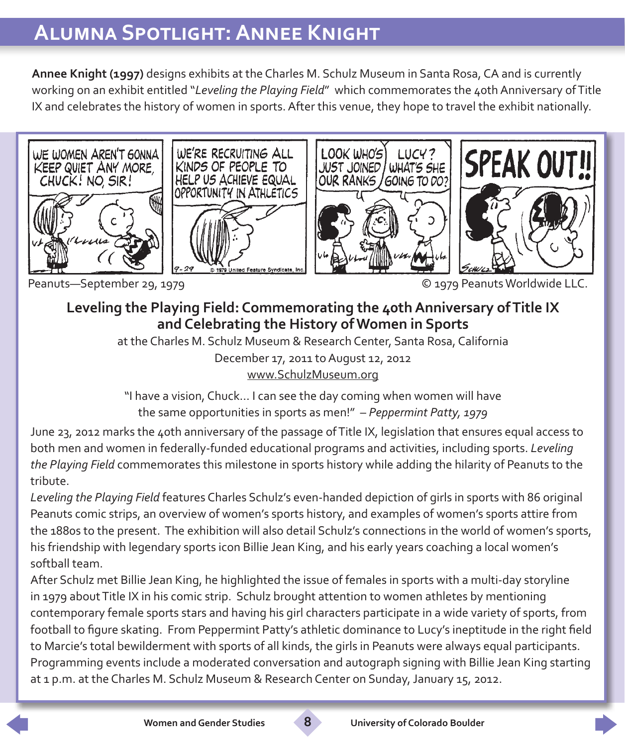# **Alumna Spotlight: Annee Knight**

**Annee Knight (1997)** designs exhibits at the Charles M. Schulz Museum in Santa Rosa, CA and is currently working on an exhibit entitled "*Leveling the Playing Field*" which commemorates the 40th Anniversary of Title IX and celebrates the history of women in sports. After this venue, they hope to travel the exhibit nationally.









Peanuts—September 29, 1979 © 1979 Peanuts Worldwide LLC.

#### **Leveling the Playing Field: Commemorating the 40th Anniversary of Title IX and Celebrating the History of Women in Sports**

at the Charles M. Schulz Museum & Research Center, Santa Rosa, California December 17, 2011 to August 12, 2012 [www.SchulzMuseum.org](http://www.SchulzMuseum.org)

"I have a vision, Chuck… I can see the day coming when women will have the same opportunities in sports as men!" – *Peppermint Patty, 1979*

June 23, 2012 marks the 40th anniversary of the passage of Title IX, legislation that ensures equal access to both men and women in federally-funded educational programs and activities, including sports. *Leveling the Playing Field* commemorates this milestone in sports history while adding the hilarity of Peanuts to the tribute.

*Leveling the Playing Field* features Charles Schulz's even-handed depiction of girls in sports with 86 original Peanuts comic strips, an overview of women's sports history, and examples of women's sports attire from the 1880s to the present. The exhibition will also detail Schulz's connections in the world of women's sports, his friendship with legendary sports icon Billie Jean King, and his early years coaching a local women's softball team.

After Schulz met Billie Jean King, he highlighted the issue of females in sports with a multi-day storyline in 1979 about Title IX in his comic strip. Schulz brought attention to women athletes by mentioning contemporary female sports stars and having his girl characters participate in a wide variety of sports, from football to figure skating. From Peppermint Patty's athletic dominance to Lucy's ineptitude in the right field to Marcie's total bewilderment with sports of all kinds, the girls in Peanuts were always equal participants. Programming events include a moderated conversation and autograph signing with Billie Jean King starting at 1 p.m. at the Charles M. Schulz Museum & Research Center on Sunday, January 15, 2012.

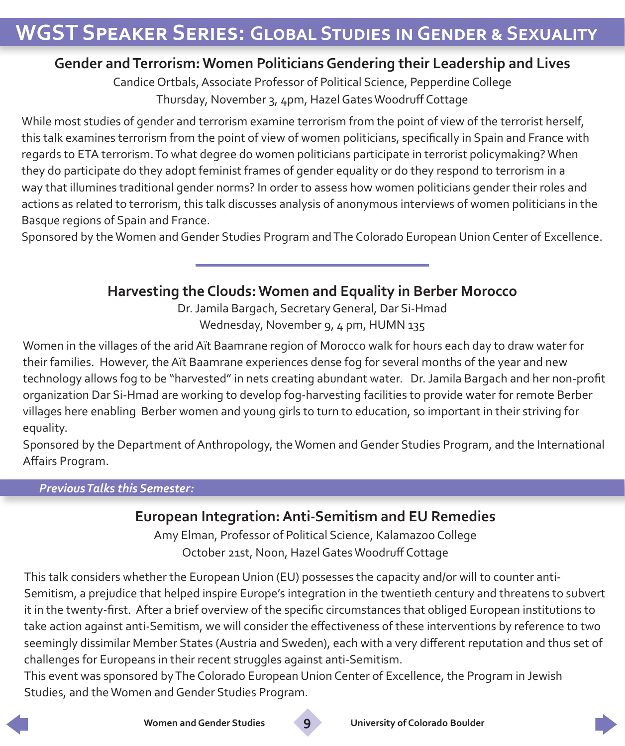#### **Gender and Terrorism: Women Politicians Gendering their Leadership and Lives**

Candice Ortbals, Associate Professor of Political Science, Pepperdine College Thursday, November 3, 4pm, Hazel Gates Woodruff Cottage

While most studies of gender and terrorism examine terrorism from the point of view of the terrorist herself, this talk examines terrorism from the point of view of women politicians, specifically in Spain and France with regards to ETA terrorism. To what degree do women politicians participate in terrorist policymaking? When they do participate do they adopt feminist frames of gender equality or do they respond to terrorism in a way that illumines traditional gender norms? In order to assess how women politicians gender their roles and actions as related to terrorism, this talk discusses analysis of anonymous interviews of women politicians in the Basque regions of Spain and France.

Sponsored by the Women and Gender Studies Program and The Colorado European Union Center of Excellence.

#### **Harvesting the Clouds: Women and Equality in Berber Morocco**

Dr. Jamila Bargach, Secretary General, Dar Si-Hmad Wednesday, November 9, 4 pm, HUMN 135

Women in the villages of the arid Aït Baamrane region of Morocco walk for hours each day to draw water for their families. However, the Aït Baamrane experiences dense fog for several months of the year and new technology allows fog to be "harvested" in nets creating abundant water. Dr. Jamila Bargach and her non-profit organization Dar Si-Hmad are working to develop fog-harvesting facilities to provide water for remote Berber villages here enabling Berber women and young girls to turn to education, so important in their striving for equality.

Sponsored by the Department of Anthropology, the Women and Gender Studies Program, and the International Affairs Program.

#### *Previous Talks this Semester:*

#### **European Integration: Anti-Semitism and EU Remedies**

Amy Elman, Professor of Political Science, Kalamazoo College October 21st, Noon, Hazel Gates Woodruff Cottage

This talk considers whether the European Union (EU) possesses the capacity and/or will to counter anti-Semitism, a prejudice that helped inspire Europe's integration in the twentieth century and threatens to subvert it in the twenty-first. After a brief overview of the specific circumstances that obliged European institutions to take action against anti-Semitism, we will consider the effectiveness of these interventions by reference to two seemingly dissimilar Member States (Austria and Sweden), each with a very different reputation and thus set of challenges for Europeans in their recent struggles against anti-Semitism.

This event was sponsored by The Colorado European Union Center of Excellence, the Program in Jewish Studies, and the Women and Gender Studies Program.





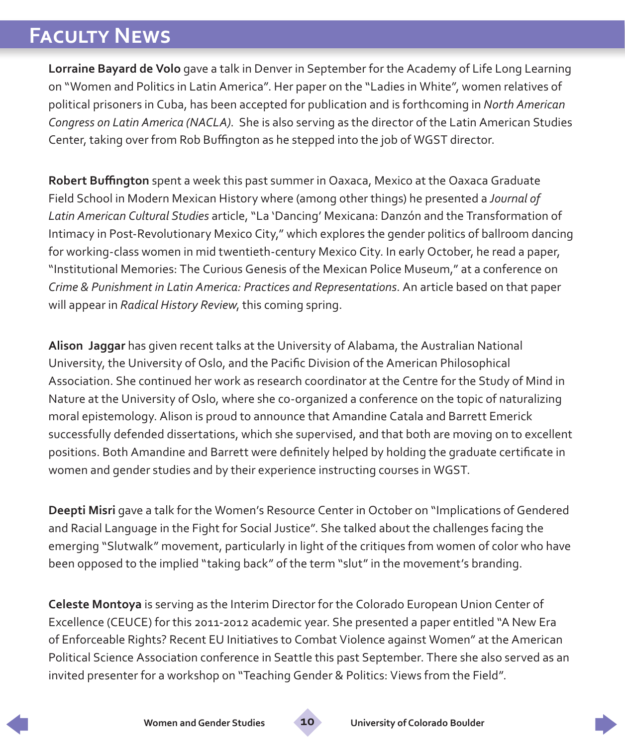# **Faculty News**

**Lorraine Bayard de Volo** gave a talk in Denver in September for the Academy of Life Long Learning on "Women and Politics in Latin America". Her paper on the "Ladies in White", women relatives of political prisoners in Cuba, has been accepted for publication and is forthcoming in *North American Congress on Latin America (NACLA)*. She is also serving as the director of the Latin American Studies Center, taking over from Rob Buffington as he stepped into the job of WGST director.

**Robert Buffington** spent a week this past summer in Oaxaca, Mexico at the Oaxaca Graduate Field School in Modern Mexican History where (among other things) he presented a *Journal of Latin American Cultural Studies* article, "La 'Dancing' Mexicana: Danzón and the Transformation of Intimacy in Post-Revolutionary Mexico City," which explores the gender politics of ballroom dancing for working-class women in mid twentieth-century Mexico City. In early October, he read a paper, "Institutional Memories: The Curious Genesis of the Mexican Police Museum," at a conference on *Crime & Punishment in Latin America: Practices and Representations*. An article based on that paper will appear in *Radical History Review*, this coming spring.

**Alison Jaggar** has given recent talks at the University of Alabama, the Australian National University, the University of Oslo, and the Pacific Division of the American Philosophical Association. She continued her work as research coordinator at the Centre for the Study of Mind in Nature at the University of Oslo, where she co-organized a conference on the topic of naturalizing moral epistemology. Alison is proud to announce that Amandine Catala and Barrett Emerick successfully defended dissertations, which she supervised, and that both are moving on to excellent positions. Both Amandine and Barrett were definitely helped by holding the graduate certificate in women and gender studies and by their experience instructing courses in WGST.

**Deepti Misri** gave a talk for the Women's Resource Center in October on "Implications of Gendered and Racial Language in the Fight for Social Justice". She talked about the challenges facing the emerging "Slutwalk" movement, particularly in light of the critiques from women of color who have been opposed to the implied "taking back" of the term "slut" in the movement's branding.

**Celeste Montoya** is serving as the Interim Director for the Colorado European Union Center of Excellence (CEUCE) for this 2011-2012 academic year. She presented a paper entitled "A New Era of Enforceable Rights? Recent EU Initiatives to Combat Violence against Women" at the American Political Science Association conference in Seattle this past September. There she also served as an invited presenter for a workshop on "Teaching Gender & Politics: Views from the Field".

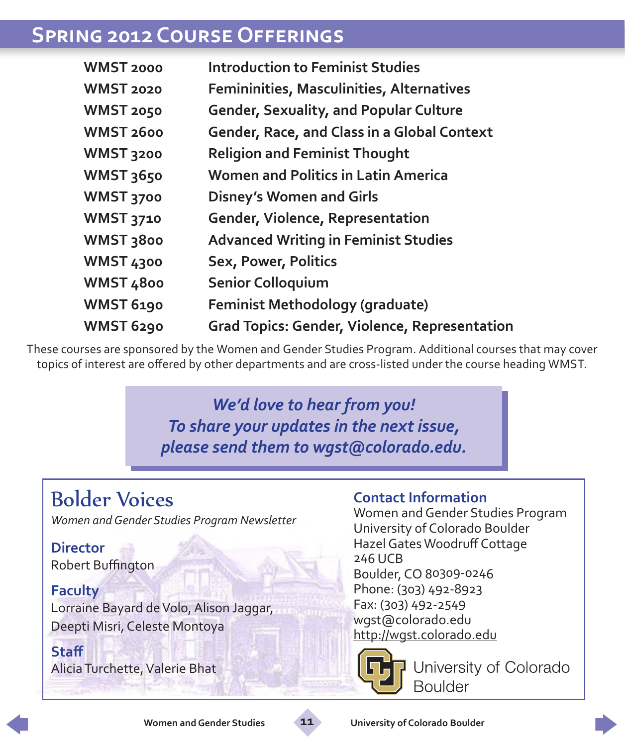### **Spring 2012 Course Offerings**

| <b>WMST 2000</b>     | <b>Introduction to Feminist Studies</b>              |
|----------------------|------------------------------------------------------|
| <b>WMST 2020</b>     | Femininities, Masculinities, Alternatives            |
| WMST 2050            | <b>Gender, Sexuality, and Popular Culture</b>        |
| WMST <sub>2600</sub> | <b>Gender, Race, and Class in a Global Context</b>   |
| WMST 3200            | <b>Religion and Feminist Thought</b>                 |
| <b>WMST 3650</b>     | <b>Women and Politics in Latin America</b>           |
| WMST 3700            | <b>Disney's Women and Girls</b>                      |
| <b>WMST 3710</b>     | <b>Gender, Violence, Representation</b>              |
| WMST 3800            | <b>Advanced Writing in Feminist Studies</b>          |
| WMST 4300            | Sex, Power, Politics                                 |
| WMST 4800            | <b>Senior Colloquium</b>                             |
| <b>WMST 6190</b>     | <b>Feminist Methodology (graduate)</b>               |
| WMST 6290            | <b>Grad Topics: Gender, Violence, Representation</b> |

These courses are sponsored by the Women and Gender Studies Program. Additional courses that may cover topics of interest are offered by other departments and are cross-listed under the course heading WMST.

#### *We'd love to hear from you! To share your updates in the next issue, please send them to [wgst@colorado.edu](mailto:wgst@colorado.edu).*

# Bolder Voices

*Women and Gender Studies Program Newsletter*

#### **Director** Robert Buffington

**Faculty**

Lorraine Bayard de Volo, Alison Jaggar, Deepti Misri, Celeste Montoya

**Staff** Alicia Turchette, Valerie Bhat

#### **Contact Information**

Women and Gender Studies Program University of Colorado Boulder Hazel Gates Woodruff Cottage 246 UCB Boulder, CO 80309-0246 Phone: (303) 492-8923 Fax: (303) 492-2549 wgst@colorado.edu <http://wgst.colorado.edu>



**University of Colorado Boulder**